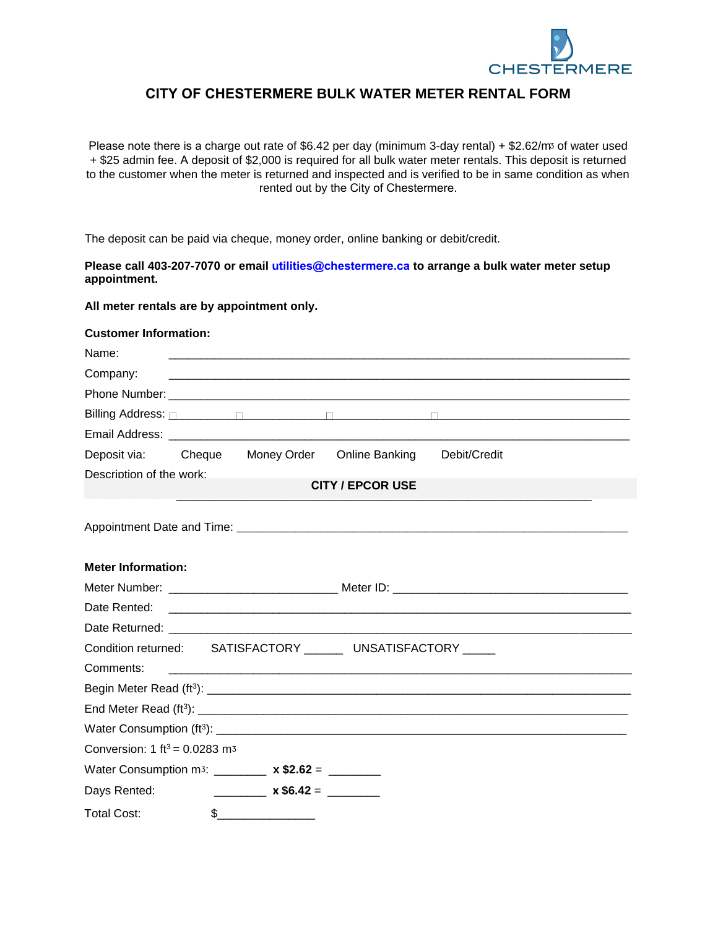

## **CITY OF CHESTERMERE BULK WATER METER RENTAL FORM**

Please note there is a charge out rate of \$6.42 per day (minimum 3-day rental) + \$2.62/m<sup>3</sup> of water used + \$25 admin fee. A deposit of \$2,000 is required for all bulk water meter rentals. This deposit is returned to the customer when the meter is returned and inspected and is verified to be in same condition as when rented out by the City of Chestermere.

The deposit can be paid via cheque, money order, online banking or debit/credit.

**Please call 403-207-7070 or email utilities@chestermere.ca to arrange a bulk water meter setup appointment.** 

**All meter rentals are by appointment only.** 

## **Customer Information:**

| Name:                                                         |                                                                 |  |  |
|---------------------------------------------------------------|-----------------------------------------------------------------|--|--|
| Company:                                                      |                                                                 |  |  |
|                                                               |                                                                 |  |  |
|                                                               |                                                                 |  |  |
|                                                               |                                                                 |  |  |
| Deposit via:                                                  | Cheque Money Order Online Banking<br>Debit/Credit               |  |  |
| Description of the work:                                      |                                                                 |  |  |
| <b>CITY / EPCOR USE</b>                                       |                                                                 |  |  |
|                                                               |                                                                 |  |  |
|                                                               |                                                                 |  |  |
| <b>Meter Information:</b>                                     |                                                                 |  |  |
|                                                               |                                                                 |  |  |
|                                                               |                                                                 |  |  |
| Date Rented:                                                  |                                                                 |  |  |
|                                                               |                                                                 |  |  |
| Condition returned: SATISFACTORY _______ UNSATISFACTORY _____ |                                                                 |  |  |
| Comments:                                                     | <u> 2000 - Andrea Andrewski, amerikansk politik (d. 1982)</u>   |  |  |
|                                                               |                                                                 |  |  |
|                                                               |                                                                 |  |  |
|                                                               |                                                                 |  |  |
| Conversion: 1 $ft^3 = 0.0283$ m <sup>3</sup>                  |                                                                 |  |  |
|                                                               | Water Consumption m <sub>3</sub> : _________ x \$2.62 = _______ |  |  |
| Days Rented:                                                  | $x $6.42 =$                                                     |  |  |
| <b>Total Cost:</b>                                            | \$                                                              |  |  |